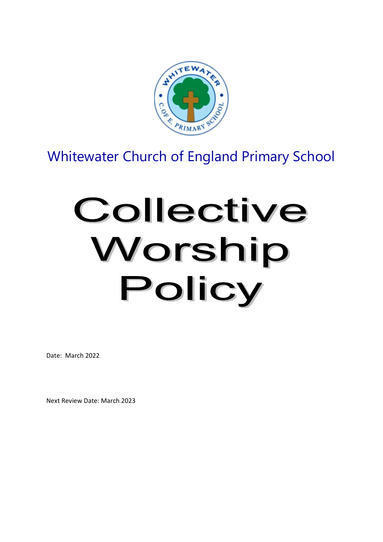

# Whitewater Church of England Primary School

# Collective Worship Policy

Date: March 2022

Next Review Date: March 2023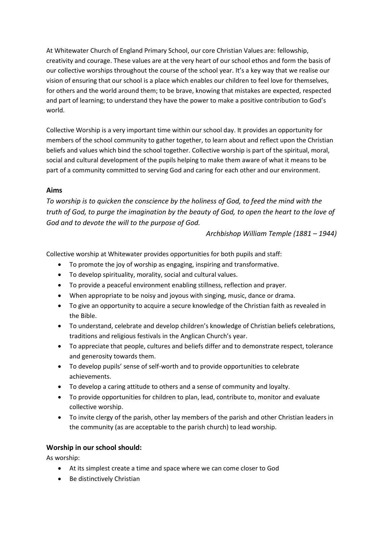At Whitewater Church of England Primary School, our core Christian Values are: fellowship, creativity and courage. These values are at the very heart of our school ethos and form the basis of our collective worships throughout the course of the school year. It's a key way that we realise our vision of ensuring that our school is a place which enables our children to feel love for themselves, for others and the world around them; to be brave, knowing that mistakes are expected, respected and part of learning; to understand they have the power to make a positive contribution to God's world.

Collective Worship is a very important time within our school day. It provides an opportunity for members of the school community to gather together, to learn about and reflect upon the Christian beliefs and values which bind the school together. Collective worship is part of the spiritual, moral, social and cultural development of the pupils helping to make them aware of what it means to be part of a community committed to serving God and caring for each other and our environment.

#### **Aims**

*To worship is to quicken the conscience by the holiness of God, to feed the mind with the truth of God, to purge the imagination by the beauty of God, to open the heart to the love of God and to devote the will to the purpose of God.*

#### *Archbishop William Temple (1881 – 1944)*

Collective worship at Whitewater provides opportunities for both pupils and staff:

- To promote the joy of worship as engaging, inspiring and transformative.
- To develop spirituality, morality, social and cultural values.
- To provide a peaceful environment enabling stillness, reflection and prayer.
- When appropriate to be noisy and joyous with singing, music, dance or drama.
- To give an opportunity to acquire a secure knowledge of the Christian faith as revealed in the Bible.
- To understand, celebrate and develop children's knowledge of Christian beliefs celebrations, traditions and religious festivals in the Anglican Church's year.
- To appreciate that people, cultures and beliefs differ and to demonstrate respect, tolerance and generosity towards them.
- To develop pupils' sense of self-worth and to provide opportunities to celebrate achievements.
- To develop a caring attitude to others and a sense of community and loyalty.
- To provide opportunities for children to plan, lead, contribute to, monitor and evaluate collective worship.
- To invite clergy of the parish, other lay members of the parish and other Christian leaders in the community (as are acceptable to the parish church) to lead worship.

# **Worship in our school should:**

As worship:

- At its simplest create a time and space where we can come closer to God
- Be distinctively Christian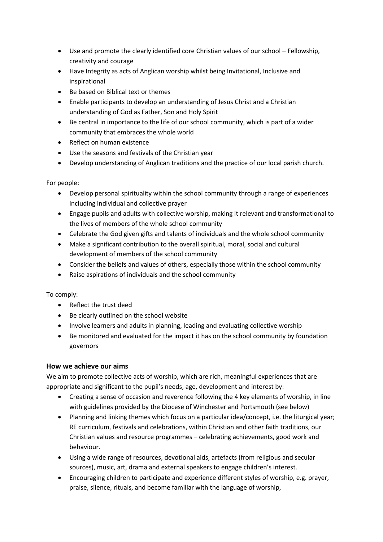- Use and promote the clearly identified core Christian values of our school Fellowship, creativity and courage
- Have Integrity as acts of Anglican worship whilst being Invitational, Inclusive and inspirational
- Be based on Biblical text or themes
- Enable participants to develop an understanding of Jesus Christ and a Christian understanding of God as Father, Son and Holy Spirit
- Be central in importance to the life of our school community, which is part of a wider community that embraces the whole world
- Reflect on human existence
- Use the seasons and festivals of the Christian year
- Develop understanding of Anglican traditions and the practice of our local parish church.

For people:

- Develop personal spirituality within the school community through a range of experiences including individual and collective prayer
- Engage pupils and adults with collective worship, making it relevant and transformational to the lives of members of the whole school community
- Celebrate the God given gifts and talents of individuals and the whole school community
- Make a significant contribution to the overall spiritual, moral, social and cultural development of members of the school community
- Consider the beliefs and values of others, especially those within the school community
- Raise aspirations of individuals and the school community

To comply:

- Reflect the trust deed
- Be clearly outlined on the school website
- Involve learners and adults in planning, leading and evaluating collective worship
- Be monitored and evaluated for the impact it has on the school community by foundation governors

# **How we achieve our aims**

We aim to promote collective acts of worship, which are rich, meaningful experiences that are appropriate and significant to the pupil's needs, age, development and interest by:

- Creating a sense of occasion and reverence following the 4 key elements of worship, in line with guidelines provided by the Diocese of Winchester and Portsmouth (see below)
- Planning and linking themes which focus on a particular idea/concept, i.e. the liturgical year; RE curriculum, festivals and celebrations, within Christian and other faith traditions, our Christian values and resource programmes – celebrating achievements, good work and behaviour.
- Using a wide range of resources, devotional aids, artefacts (from religious and secular sources), music, art, drama and external speakers to engage children's interest.
- Encouraging children to participate and experience different styles of worship, e.g. prayer, praise, silence, rituals, and become familiar with the language of worship,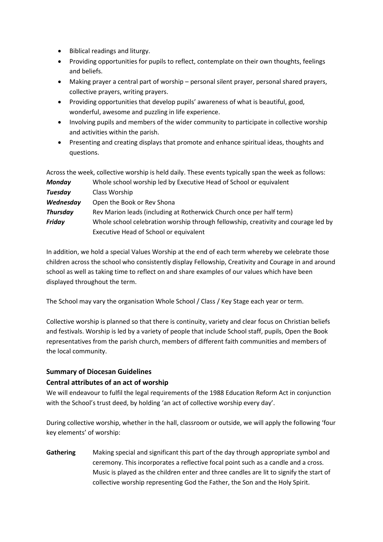- Biblical readings and liturgy.
- Providing opportunities for pupils to reflect, contemplate on their own thoughts, feelings and beliefs.
- Making prayer a central part of worship personal silent prayer, personal shared prayers, collective prayers, writing prayers.
- Providing opportunities that develop pupils' awareness of what is beautiful, good, wonderful, awesome and puzzling in life experience.
- Involving pupils and members of the wider community to participate in collective worship and activities within the parish.
- Presenting and creating displays that promote and enhance spiritual ideas, thoughts and questions.

|                 | Across the week, collective worship is held daily. These events typically span the week as follows: |
|-----------------|-----------------------------------------------------------------------------------------------------|
| <b>Monday</b>   | Whole school worship led by Executive Head of School or equivalent                                  |
| <b>Tuesday</b>  | Class Worship                                                                                       |
| Wednesday       | Open the Book or Rev Shona                                                                          |
| <b>Thursday</b> | Rev Marion leads (including at Rotherwick Church once per half term)                                |
| <b>Friday</b>   | Whole school celebration worship through fellowship, creativity and courage led by                  |
|                 | Executive Head of School or equivalent                                                              |

In addition, we hold a special Values Worship at the end of each term whereby we celebrate those children across the school who consistently display Fellowship, Creativity and Courage in and around school as well as taking time to reflect on and share examples of our values which have been displayed throughout the term.

The School may vary the organisation Whole School / Class / Key Stage each year or term.

Collective worship is planned so that there is continuity, variety and clear focus on Christian beliefs and festivals. Worship is led by a variety of people that include School staff, pupils, Open the Book representatives from the parish church, members of different faith communities and members of the local community.

# **Summary of Diocesan Guidelines**

# **Central attributes of an act of worship**

We will endeavour to fulfil the legal requirements of the 1988 Education Reform Act in conjunction with the School's trust deed, by holding 'an act of collective worship every day'.

During collective worship, whether in the hall, classroom or outside, we will apply the following 'four key elements' of worship:

**Gathering** Making special and significant this part of the day through appropriate symbol and ceremony. This incorporates a reflective focal point such as a candle and a cross. Music is played as the children enter and three candles are lit to signify the start of collective worship representing God the Father, the Son and the Holy Spirit.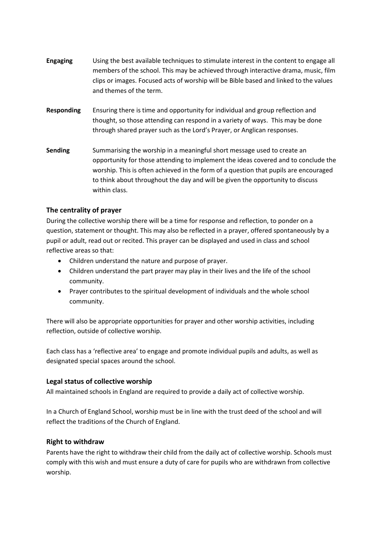- **Engaging** Using the best available techniques to stimulate interest in the content to engage all members of the school. This may be achieved through interactive drama, music, film clips or images. Focused acts of worship will be Bible based and linked to the values and themes of the term.
- **Responding** Ensuring there is time and opportunity for individual and group reflection and thought, so those attending can respond in a variety of ways. This may be done through shared prayer such as the Lord's Prayer, or Anglican responses.
- **Sending** Summarising the worship in a meaningful short message used to create an opportunity for those attending to implement the ideas covered and to conclude the worship. This is often achieved in the form of a question that pupils are encouraged to think about throughout the day and will be given the opportunity to discuss within class.

#### **The centrality of prayer**

During the collective worship there will be a time for response and reflection, to ponder on a question, statement or thought. This may also be reflected in a prayer, offered spontaneously by a pupil or adult, read out or recited. This prayer can be displayed and used in class and school reflective areas so that:

- Children understand the nature and purpose of prayer.
- Children understand the part prayer may play in their lives and the life of the school community.
- Prayer contributes to the spiritual development of individuals and the whole school community.

There will also be appropriate opportunities for prayer and other worship activities, including reflection, outside of collective worship.

Each class has a 'reflective area' to engage and promote individual pupils and adults, as well as designated special spaces around the school.

#### **Legal status of collective worship**

All maintained schools in England are required to provide a daily act of collective worship.

In a Church of England School, worship must be in line with the trust deed of the school and will reflect the traditions of the Church of England.

#### **Right to withdraw**

Parents have the right to withdraw their child from the daily act of collective worship. Schools must comply with this wish and must ensure a duty of care for pupils who are withdrawn from collective worship.